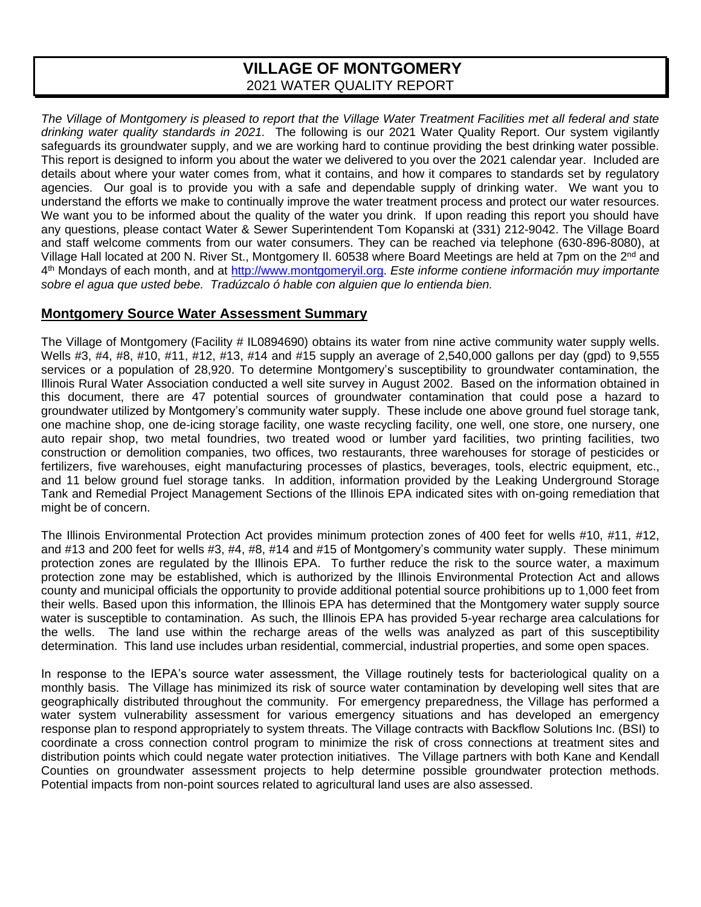# **VILLAGE OF MONTGOMERY** 2021 WATER QUALITY REPORT

*The Village of Montgomery is pleased to report that the Village Water Treatment Facilities met all federal and state drinking water quality standards in 2021.* The following is our 2021 Water Quality Report. Our system vigilantly safeguards its groundwater supply, and we are working hard to continue providing the best drinking water possible. This report is designed to inform you about the water we delivered to you over the 2021 calendar year. Included are details about where your water comes from, what it contains, and how it compares to standards set by regulatory agencies. Our goal is to provide you with a safe and dependable supply of drinking water. We want you to understand the efforts we make to continually improve the water treatment process and protect our water resources. We want you to be informed about the quality of the water you drink. If upon reading this report you should have any questions, please contact Water & Sewer Superintendent Tom Kopanski at (331) 212-9042. The Village Board and staff welcome comments from our water consumers. They can be reached via telephone (630-896-8080), at Village Hall located at 200 N. River St., Montgomery II. 60538 where Board Meetings are held at 7pm on the 2<sup>nd</sup> and 4 th Mondays of each month, and at [http://www.montgomeryil.org.](http://www.montgomeryil.org/) *Este informe contiene información muy importante sobre el agua que usted bebe. Tradúzcalo ó hable con alguien que lo entienda bien.*

## **Montgomery Source Water Assessment Summary**

The Village of Montgomery (Facility # IL0894690) obtains its water from nine active community water supply wells. Wells #3, #4, #8, #10, #11, #12, #13, #14 and #15 supply an average of 2,540,000 gallons per day (gpd) to 9,555 services or a population of 28,920. To determine Montgomery's susceptibility to groundwater contamination, the Illinois Rural Water Association conducted a well site survey in August 2002. Based on the information obtained in this document, there are 47 potential sources of groundwater contamination that could pose a hazard to groundwater utilized by Montgomery's community water supply. These include one above ground fuel storage tank, one machine shop, one de-icing storage facility, one waste recycling facility, one well, one store, one nursery, one auto repair shop, two metal foundries, two treated wood or lumber yard facilities, two printing facilities, two construction or demolition companies, two offices, two restaurants, three warehouses for storage of pesticides or fertilizers, five warehouses, eight manufacturing processes of plastics, beverages, tools, electric equipment, etc., and 11 below ground fuel storage tanks. In addition, information provided by the Leaking Underground Storage Tank and Remedial Project Management Sections of the Illinois EPA indicated sites with on-going remediation that might be of concern.

The Illinois Environmental Protection Act provides minimum protection zones of 400 feet for wells #10, #11, #12, and #13 and 200 feet for wells #3, #4, #8, #14 and #15 of Montgomery's community water supply. These minimum protection zones are regulated by the Illinois EPA. To further reduce the risk to the source water, a maximum protection zone may be established, which is authorized by the Illinois Environmental Protection Act and allows county and municipal officials the opportunity to provide additional potential source prohibitions up to 1,000 feet from their wells. Based upon this information, the Illinois EPA has determined that the Montgomery water supply source water is susceptible to contamination. As such, the Illinois EPA has provided 5-year recharge area calculations for the wells. The land use within the recharge areas of the wells was analyzed as part of this susceptibility determination. This land use includes urban residential, commercial, industrial properties, and some open spaces.

In response to the IEPA's source water assessment, the Village routinely tests for bacteriological quality on a monthly basis. The Village has minimized its risk of source water contamination by developing well sites that are geographically distributed throughout the community. For emergency preparedness, the Village has performed a water system vulnerability assessment for various emergency situations and has developed an emergency response plan to respond appropriately to system threats. The Village contracts with Backflow Solutions Inc. (BSI) to coordinate a cross connection control program to minimize the risk of cross connections at treatment sites and distribution points which could negate water protection initiatives. The Village partners with both Kane and Kendall Counties on groundwater assessment projects to help determine possible groundwater protection methods. Potential impacts from non-point sources related to agricultural land uses are also assessed.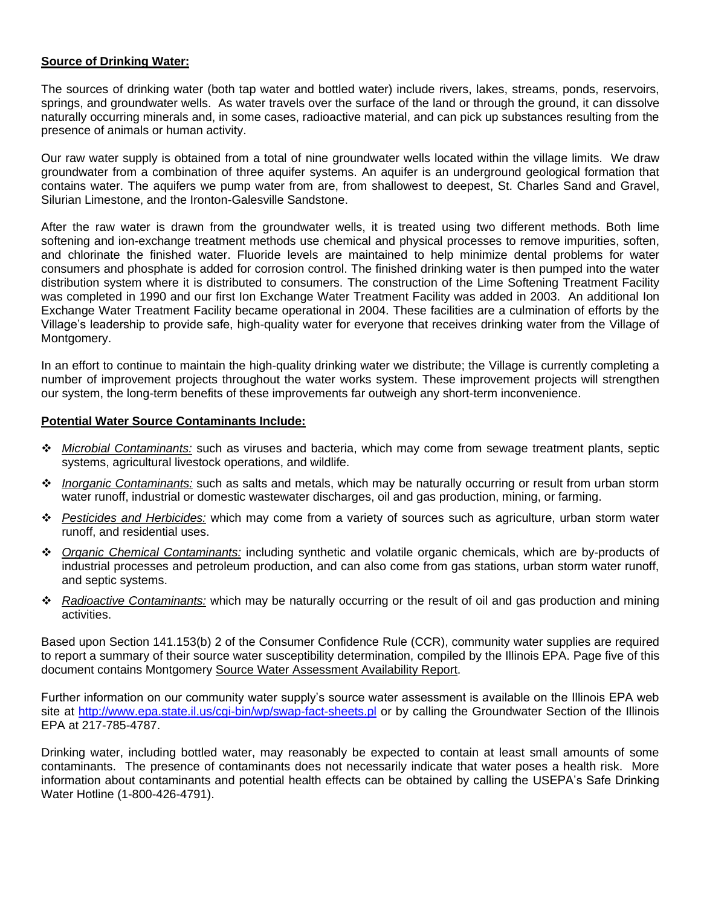### **Source of Drinking Water:**

The sources of drinking water (both tap water and bottled water) include rivers, lakes, streams, ponds, reservoirs, springs, and groundwater wells. As water travels over the surface of the land or through the ground, it can dissolve naturally occurring minerals and, in some cases, radioactive material, and can pick up substances resulting from the presence of animals or human activity.

Our raw water supply is obtained from a total of nine groundwater wells located within the village limits. We draw groundwater from a combination of three aquifer systems. An aquifer is an underground geological formation that contains water. The aquifers we pump water from are, from shallowest to deepest, St. Charles Sand and Gravel, Silurian Limestone, and the Ironton-Galesville Sandstone.

After the raw water is drawn from the groundwater wells, it is treated using two different methods. Both lime softening and ion-exchange treatment methods use chemical and physical processes to remove impurities, soften, and chlorinate the finished water. Fluoride levels are maintained to help minimize dental problems for water consumers and phosphate is added for corrosion control. The finished drinking water is then pumped into the water distribution system where it is distributed to consumers. The construction of the Lime Softening Treatment Facility was completed in 1990 and our first Ion Exchange Water Treatment Facility was added in 2003. An additional Ion Exchange Water Treatment Facility became operational in 2004. These facilities are a culmination of efforts by the Village's leadership to provide safe, high-quality water for everyone that receives drinking water from the Village of Montgomery.

In an effort to continue to maintain the high-quality drinking water we distribute; the Village is currently completing a number of improvement projects throughout the water works system. These improvement projects will strengthen our system, the long-term benefits of these improvements far outweigh any short-term inconvenience.

#### **Potential Water Source Contaminants Include:**

- ❖ *Microbial Contaminants:* such as viruses and bacteria, which may come from sewage treatment plants, septic systems, agricultural livestock operations, and wildlife.
- ❖ *Inorganic Contaminants:* such as salts and metals, which may be naturally occurring or result from urban storm water runoff, industrial or domestic wastewater discharges, oil and gas production, mining, or farming.
- ❖ *Pesticides and Herbicides:* which may come from a variety of sources such as agriculture, urban storm water runoff, and residential uses.
- ❖ *Organic Chemical Contaminants:* including synthetic and volatile organic chemicals, which are by-products of industrial processes and petroleum production, and can also come from gas stations, urban storm water runoff, and septic systems.
- ❖ *Radioactive Contaminants:* which may be naturally occurring or the result of oil and gas production and mining activities.

Based upon Section 141.153(b) 2 of the Consumer Confidence Rule (CCR), community water supplies are required to report a summary of their source water susceptibility determination, compiled by the Illinois EPA. Page five of this document contains Montgomery Source Water Assessment Availability Report.

Further information on our community water supply's source water assessment is available on the Illinois EPA web site at <http://www.epa.state.il.us/cgi-bin/wp/swap-fact-sheets.pl> or by calling the Groundwater Section of the Illinois EPA at 217-785-4787.

Drinking water, including bottled water, may reasonably be expected to contain at least small amounts of some contaminants. The presence of contaminants does not necessarily indicate that water poses a health risk. More information about contaminants and potential health effects can be obtained by calling the USEPA's Safe Drinking Water Hotline (1-800-426-4791).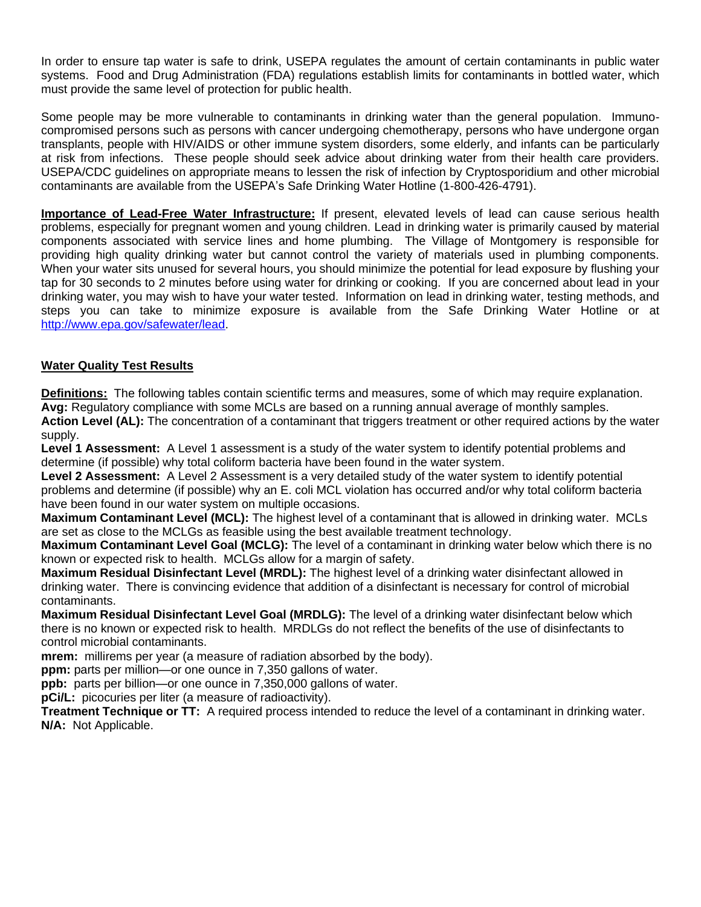In order to ensure tap water is safe to drink, USEPA regulates the amount of certain contaminants in public water systems. Food and Drug Administration (FDA) regulations establish limits for contaminants in bottled water, which must provide the same level of protection for public health.

Some people may be more vulnerable to contaminants in drinking water than the general population. Immunocompromised persons such as persons with cancer undergoing chemotherapy, persons who have undergone organ transplants, people with HIV/AIDS or other immune system disorders, some elderly, and infants can be particularly at risk from infections. These people should seek advice about drinking water from their health care providers. USEPA/CDC guidelines on appropriate means to lessen the risk of infection by Cryptosporidium and other microbial contaminants are available from the USEPA's Safe Drinking Water Hotline (1-800-426-4791).

**Importance of Lead-Free Water Infrastructure:** If present, elevated levels of lead can cause serious health problems, especially for pregnant women and young children. Lead in drinking water is primarily caused by material components associated with service lines and home plumbing. The Village of Montgomery is responsible for providing high quality drinking water but cannot control the variety of materials used in plumbing components. When your water sits unused for several hours, you should minimize the potential for lead exposure by flushing your tap for 30 seconds to 2 minutes before using water for drinking or cooking. If you are concerned about lead in your drinking water, you may wish to have your water tested. Information on lead in drinking water, testing methods, and steps you can take to minimize exposure is available from the Safe Drinking Water Hotline or at [http://www.epa.gov/safewater/lead.](http://www.epa.gov/safewater/lead)

## **Water Quality Test Results**

**Definitions:** The following tables contain scientific terms and measures, some of which may require explanation. **Avg:** Regulatory compliance with some MCLs are based on a running annual average of monthly samples.

**Action Level (AL):** The concentration of a contaminant that triggers treatment or other required actions by the water supply.

**Level 1 Assessment:** A Level 1 assessment is a study of the water system to identify potential problems and determine (if possible) why total coliform bacteria have been found in the water system.

**Level 2 Assessment:** A Level 2 Assessment is a very detailed study of the water system to identify potential problems and determine (if possible) why an E. coli MCL violation has occurred and/or why total coliform bacteria have been found in our water system on multiple occasions.

**Maximum Contaminant Level (MCL):** The highest level of a contaminant that is allowed in drinking water. MCLs are set as close to the MCLGs as feasible using the best available treatment technology.

**Maximum Contaminant Level Goal (MCLG):** The level of a contaminant in drinking water below which there is no known or expected risk to health. MCLGs allow for a margin of safety.

**Maximum Residual Disinfectant Level (MRDL):** The highest level of a drinking water disinfectant allowed in drinking water. There is convincing evidence that addition of a disinfectant is necessary for control of microbial contaminants.

**Maximum Residual Disinfectant Level Goal (MRDLG):** The level of a drinking water disinfectant below which there is no known or expected risk to health. MRDLGs do not reflect the benefits of the use of disinfectants to control microbial contaminants.

**mrem:** millirems per year (a measure of radiation absorbed by the body).

**ppm:** parts per million—or one ounce in 7,350 gallons of water.

**ppb:** parts per billion—or one ounce in 7,350,000 gallons of water.

**pCi/L:** picocuries per liter (a measure of radioactivity).

**Treatment Technique or TT:** A required process intended to reduce the level of a contaminant in drinking water. **N/A:** Not Applicable.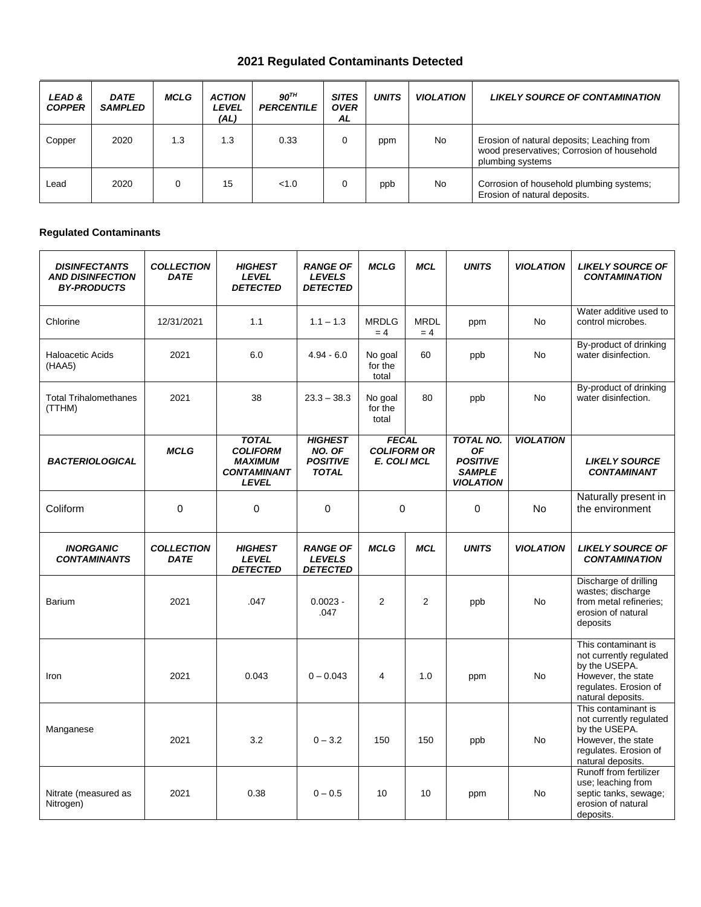# **2021 Regulated Contaminants Detected**

| LEAD&<br><b>COPPER</b> | <b>DATE</b><br><b>SAMPLED</b> | MCLG     | <b>ACTION</b><br><i><b>LEVEL</b></i><br>(AL) | $90^{TH}$<br><b>PERCENTILE</b> | <b>SITES</b><br><b>OVER</b><br>AL | <b>UNITS</b> | <b>VIOLATION</b> | <b>LIKELY SOURCE OF CONTAMINATION</b>                                                                        |
|------------------------|-------------------------------|----------|----------------------------------------------|--------------------------------|-----------------------------------|--------------|------------------|--------------------------------------------------------------------------------------------------------------|
| Copper                 | 2020                          | 1.3      | 1.3                                          | 0.33                           |                                   | ppm          | <b>No</b>        | Erosion of natural deposits; Leaching from<br>wood preservatives; Corrosion of household<br>plumbing systems |
| Lead                   | 2020                          | $\Omega$ | 15                                           | <1.0                           |                                   | ppb          | No               | Corrosion of household plumbing systems;<br>Erosion of natural deposits.                                     |

### **Regulated Contaminants**

| <b>DISINFECTANTS</b><br><b>AND DISINFECTION</b><br><b>BY-PRODUCTS</b> | <b>COLLECTION</b><br><b>DATE</b> | <b>HIGHEST</b><br><b>LEVEL</b><br><b>DETECTED</b>                                       | <b>RANGE OF</b><br><b>LEVELS</b><br><b>DETECTED</b>         | <b>MCLG</b>                                              | <b>MCL</b>           | <b>UNITS</b>                                                                          | <b>VIOLATION</b> | <b>LIKELY SOURCE OF</b><br><b>CONTAMINATION</b>                                                                                     |
|-----------------------------------------------------------------------|----------------------------------|-----------------------------------------------------------------------------------------|-------------------------------------------------------------|----------------------------------------------------------|----------------------|---------------------------------------------------------------------------------------|------------------|-------------------------------------------------------------------------------------------------------------------------------------|
| Chlorine                                                              | 12/31/2021                       | 1.1                                                                                     | $1.1 - 1.3$                                                 | <b>MRDLG</b><br>$= 4$                                    | <b>MRDL</b><br>$= 4$ | ppm                                                                                   | <b>No</b>        | Water additive used to<br>control microbes.                                                                                         |
| <b>Haloacetic Acids</b><br>2021<br>(HAA5)                             |                                  | 6.0                                                                                     | $4.94 - 6.0$                                                | No goal<br>for the<br>total                              | 60                   | ppb                                                                                   | <b>No</b>        | By-product of drinking<br>water disinfection.                                                                                       |
| <b>Total Trihalomethanes</b><br>(TTHM)                                | 2021                             | 38                                                                                      | $23.3 - 38.3$                                               | No goal<br>for the<br>total                              | 80                   | ppb                                                                                   | No               | By-product of drinking<br>water disinfection.                                                                                       |
| <b>BACTERIOLOGICAL</b>                                                | <b>MCLG</b>                      | <b>TOTAL</b><br><b>COLIFORM</b><br><b>MAXIMUM</b><br><b>CONTAMINANT</b><br><b>LEVEL</b> | <b>HIGHEST</b><br>NO. OF<br><b>POSITIVE</b><br><b>TOTAL</b> | <b>FECAL</b><br><b>COLIFORM OR</b><br><b>E. COLI MCL</b> |                      | <b>TOTAL NO.</b><br><b>OF</b><br><b>POSITIVE</b><br><b>SAMPLE</b><br><b>VIOLATION</b> | <b>VIOLATION</b> | <b>LIKELY SOURCE</b><br><b>CONTAMINANT</b>                                                                                          |
| Coliform                                                              | $\mathbf 0$                      | $\mathbf 0$                                                                             | 0                                                           | 0                                                        |                      | 0                                                                                     | No.              | Naturally present in<br>the environment                                                                                             |
| <b>INORGANIC</b><br><b>CONTAMINANTS</b>                               | <b>COLLECTION</b><br><b>DATE</b> | <b>HIGHEST</b><br><b>LEVEL</b><br><b>DETECTED</b>                                       | <b>RANGE OF</b><br><b>LEVELS</b><br><b>DETECTED</b>         | <b>MCLG</b>                                              | <b>MCL</b>           | <b>UNITS</b>                                                                          | <b>VIOLATION</b> | <b>LIKELY SOURCE OF</b><br><b>CONTAMINATION</b>                                                                                     |
| Barium                                                                | 2021                             | .047                                                                                    | $0.0023 -$<br>.047                                          | $\overline{2}$                                           | 2                    | ppb                                                                                   | <b>No</b>        | Discharge of drilling<br>wastes; discharge<br>from metal refineries;<br>erosion of natural<br>deposits                              |
| Iron                                                                  | 2021                             | 0.043                                                                                   | $0 - 0.043$                                                 | 4                                                        | 1.0                  | ppm                                                                                   | <b>No</b>        | This contaminant is<br>not currently regulated<br>by the USEPA.<br>However, the state<br>regulates. Erosion of<br>natural deposits. |
| Manganese                                                             | 2021                             | 3.2                                                                                     | $0 - 3.2$                                                   | 150                                                      | 150                  | ppb                                                                                   | <b>No</b>        | This contaminant is<br>not currently regulated<br>by the USEPA.<br>However, the state<br>regulates. Erosion of<br>natural deposits. |
| Nitrate (measured as<br>Nitrogen)                                     | 2021                             | 0.38                                                                                    | $0 - 0.5$                                                   | 10                                                       | 10                   | ppm                                                                                   | <b>No</b>        | Runoff from fertilizer<br>use; leaching from<br>septic tanks, sewage;<br>erosion of natural<br>deposits.                            |